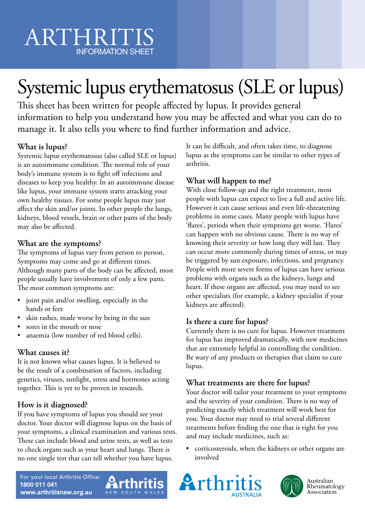## ARTHRITIS INFORMATION SHEET

# Systemic lupus erythematosus (SLE or lupus)

This sheet has been written for people affected by lupus. It provides general information to help you understand how you may be affected and what you can do to manage it. It also tells you where to find further information and advice.

### **What is lupus?**

Systemic lupus erythematosus (also called SLE or lupus) is an autoimmune condition. The normal role of your body's immune system is to fight off infections and diseases to keep you healthy. In an autoimmune disease like lupus, your immune system starts attacking your own healthy tissues. For some people lupus may just affect the skin and/or joints. In other people the lungs, kidneys, blood vessels, brain or other parts of the body may also be affected.

#### **What are the symptoms?**

The symptoms of lupus vary from person to person. Symptoms may come and go at different times. Although many parts of the body can be affected, most people usually have involvement of only a few parts. The most common symptoms are:

- joint pain and/or swelling, especially in the hands or feet
- skin rashes, made worse by being in the sun
- sores in the mouth or nose
- anaemia (low number of red blood cells).

### **What causes it?**

It is not known what causes lupus. It is believed to be the result of a combination of factors, including genetics, viruses, sunlight, stress and hormones acting together. This is yet to be proven in research.

#### **How is it diagnosed?**

If you have symptoms of lupus you should see your doctor. Your doctor will diagnose lupus on the basis of your symptoms, a clinical examination and various tests. These can include blood and urine tests, as well as tests to check organs such as your heart and lungs. There is no one single test that can tell whether you have lupus.

It can be difficult, and often takes time, to diagnose lupus as the symptoms can be similar to other types of arthritis.

#### **What will happen to me?**

With close follow-up and the right treatment, most people with lupus can expect to live a full and active life. However it can cause serious and even life-threatening problems in some cases. Many people with lupus have 'flares', periods when their symptoms get worse. 'Flares' can happen with no obvious cause. There is no way of knowing their severity or how long they will last. They can occur more commonly during times of stress, or may be triggered by sun exposure, infections, and pregnancy. People with more severe forms of lupus can have serious problems with organs such as the kidneys, lungs and heart. If these organs are affected, you may need to see other specialists (for example, a kidney specialist if your kidneys are affected).

#### **Is there a cure for lupus?**

Currently there is no cure for lupus. However treatment for lupus has improved dramatically, with new medicines that are extremely helpful in controlling the condition. Be wary of any products or therapies that claim to cure lupus.

#### **What treatments are there for lupus?**

Your doctor will tailor your treatment to your symptoms and the severity of your condition. There is no way of predicting exactly which treatment will work best for you. Your doctor may need to trial several different treatments before finding the one that is right for you and may include medicines, such as:

• corticosteroids, when the kidneys or other organs are involved